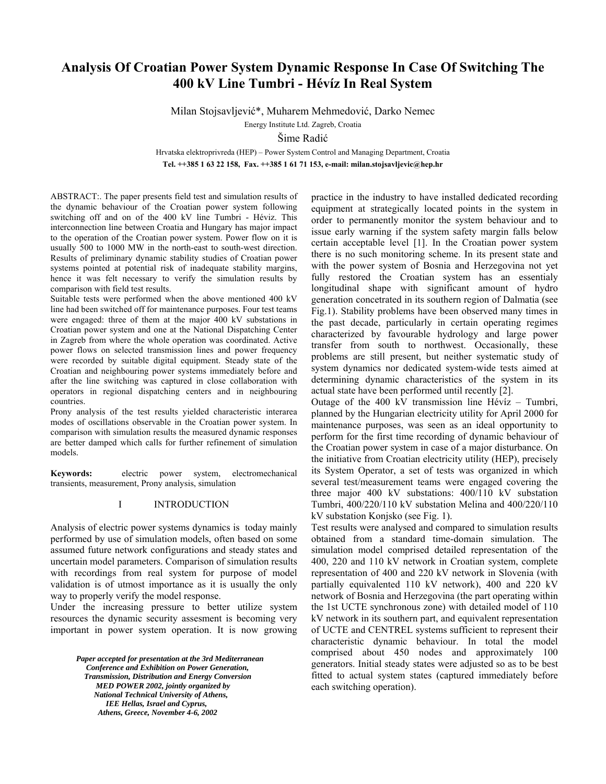# **Analysis Of Croatian Power System Dynamic Response In Case Of Switching The 400 kV Line Tumbri - Hévíz In Real System**

Milan Stojsavljević\*, Muharem Mehmedović, Darko Nemec

Energy Institute Ltd. Zagreb, Croatia

Šime Radić

Hrvatska elektroprivreda (HEP) – Power System Control and Managing Department, Croatia **Tel. ++385 1 63 22 158, Fax. ++385 1 61 71 153, e-mail: milan.stojsavljevic@hep.hr** 

ABSTRACT:. The paper presents field test and simulation results of the dynamic behaviour of the Croatian power system following switching off and on of the 400 kV line Tumbri - Héviz. This interconnection line between Croatia and Hungary has major impact to the operation of the Croatian power system. Power flow on it is usually 500 to 1000 MW in the north-east to south-west direction. Results of preliminary dynamic stability studies of Croatian power systems pointed at potential risk of inadequate stability margins, hence it was felt necessary to verify the simulation results by comparison with field test results.

Suitable tests were performed when the above mentioned 400 kV line had been switched off for maintenance purposes. Four test teams were engaged: three of them at the major 400 kV substations in Croatian power system and one at the National Dispatching Center in Zagreb from where the whole operation was coordinated. Active power flows on selected transmission lines and power frequency were recorded by suitable digital equipment. Steady state of the Croatian and neighbouring power systems immediately before and after the line switching was captured in close collaboration with operators in regional dispatching centers and in neighbouring countries.

Prony analysis of the test results yielded characteristic interarea modes of oscillations observable in the Croatian power system. In comparison with simulation results the measured dynamic responses are better damped which calls for further refinement of simulation models.

**Keywords:** electric power system, electromechanical transients, measurement, Prony analysis, simulation

# I INTRODUCTION

Analysis of electric power systems dynamics is today mainly performed by use of simulation models, often based on some assumed future network configurations and steady states and uncertain model parameters. Comparison of simulation results with recordings from real system for purpose of model validation is of utmost importance as it is usually the only way to properly verify the model response.

Under the increasing pressure to better utilize system resources the dynamic security assesment is becoming very important in power system operation. It is now growing

> Paper accepted for presentation at the 3rd Mediterranean<br>
> Conference and Exhibition on Power Generation,<br>
> Transmission, Distribution and Energy Conversion<br> *MED POWER 2002, jointly organized by*<br> *PAPER 2002, jointly organ Conference and Exhibition on Power Generation, Transmission, Distribution and Energy Conversion MED POWER 2002, jointly organized by National Technical University of Athens, IEE Hellas, Israel and Cyprus, Athens, Greece, November 4-6, 2002*

practice in the industry to have installed dedicated recording equipment at strategically located points in the system in order to permanently monitor the system behaviour and to issue early warning if the system safety margin falls below certain acceptable level [1]. In the Croatian power system there is no such monitoring scheme. In its present state and with the power system of Bosnia and Herzegovina not yet fully restored the Croatian system has an essentialy longitudinal shape with significant amount of hydro generation concetrated in its southern region of Dalmatia (see Fig.1). Stability problems have been observed many times in the past decade, particularly in certain operating regimes characterized by favourable hydrology and large power transfer from south to northwest. Occasionally, these problems are still present, but neither systematic study of system dynamics nor dedicated system-wide tests aimed at determining dynamic characteristics of the system in its actual state have been performed until recently [2].

Outage of the 400 kV transmission line Hévíz – Tumbri, planned by the Hungarian electricity utility for April 2000 for maintenance purposes, was seen as an ideal opportunity to perform for the first time recording of dynamic behaviour of the Croatian power system in case of a major disturbance. On the initiative from Croatian electricity utility (HEP), precisely its System Operator, a set of tests was organized in which several test/measurement teams were engaged covering the three major 400 kV substations: 400/110 kV substation Tumbri, 400/220/110 kV substation Melina and 400/220/110 kV substation Konjsko (see Fig. 1).

Test results were analysed and compared to simulation results obtained from a standard time-domain simulation. The simulation model comprised detailed representation of the 400, 220 and 110 kV network in Croatian system, complete representation of 400 and 220 kV network in Slovenia (with partially equivalented 110 kV network), 400 and 220 kV network of Bosnia and Herzegovina (the part operating within the 1st UCTE synchronous zone) with detailed model of 110 kV network in its southern part, and equivalent representation of UCTE and CENTREL systems sufficient to represent their characteristic dynamic behaviour. In total the model comprised about 450 nodes and approximately 100 generators. Initial steady states were adjusted so as to be best fitted to actual system states (captured immediately before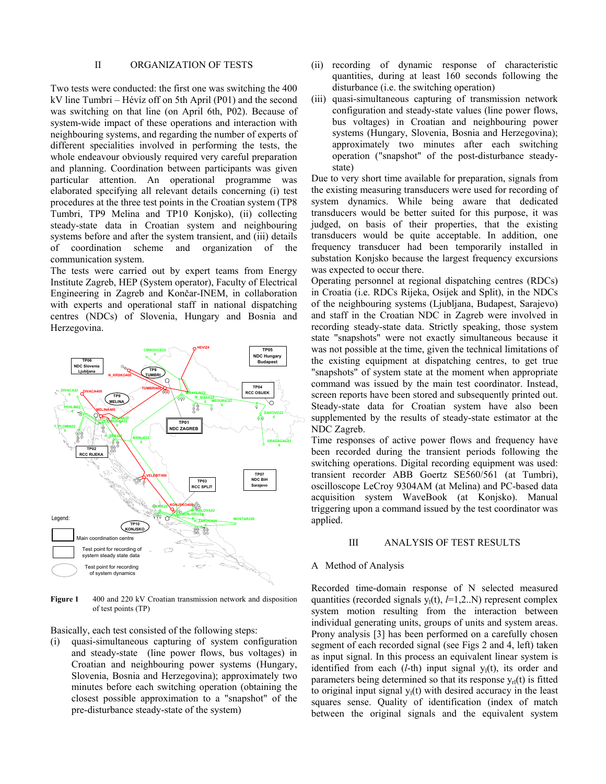### II ORGANIZATION OF TESTS

Two tests were conducted: the first one was switching the 400 kV line Tumbri – Hévíz off on 5th April (P01) and the second was switching on that line (on April 6th, P02). Because of system-wide impact of these operations and interaction with neighbouring systems, and regarding the number of experts of different specialities involved in performing the tests, the whole endeavour obviously required very careful preparation and planning. Coordination between participants was given particular attention. An operational programme was elaborated specifying all relevant details concerning (i) test procedures at the three test points in the Croatian system (TP8 Tumbri, TP9 Melina and TP10 Konjsko), (ii) collecting steady-state data in Croatian system and neighbouring systems before and after the system transient, and (iii) details of coordination scheme and organization of the communication system.

The tests were carried out by expert teams from Energy Institute Zagreb, HEP (System operator), Faculty of Electrical Engineering in Zagreb and Končar-INEM, in collaboration with experts and operational staff in national dispatching centres (NDCs) of Slovenia, Hungary and Bosnia and Herzegovina.



Figure 1 400 and 220 kV Croatian transmission network and disposition of test points (TP)

Basically, each test consisted of the following steps:

(i) quasi-simultaneous capturing of system configuration and steady-state (line power flows, bus voltages) in Croatian and neighbouring power systems (Hungary, Slovenia, Bosnia and Herzegovina); approximately two minutes before each switching operation (obtaining the closest possible approximation to a "snapshot" of the pre-disturbance steady-state of the system)

- (ii) recording of dynamic response of characteristic quantities, during at least 160 seconds following the disturbance (i.e. the switching operation)
- (iii) quasi-simultaneous capturing of transmission network configuration and steady-state values (line power flows, bus voltages) in Croatian and neighbouring power systems (Hungary, Slovenia, Bosnia and Herzegovina); approximately two minutes after each switching operation ("snapshot" of the post-disturbance steadystate)

Due to very short time available for preparation, signals from the existing measuring transducers were used for recording of system dynamics. While being aware that dedicated transducers would be better suited for this purpose, it was judged, on basis of their properties, that the existing transducers would be quite acceptable. In addition, one frequency transducer had been temporarily installed in substation Konjsko because the largest frequency excursions was expected to occur there.

Operating personnel at regional dispatching centres (RDCs) in Croatia (i.e. RDCs Rijeka, Osijek and Split), in the NDCs of the neighbouring systems (Ljubljana, Budapest, Sarajevo) and staff in the Croatian NDC in Zagreb were involved in recording steady-state data. Strictly speaking, those system state "snapshots" were not exactly simultaneous because it was not possible at the time, given the technical limitations of the existing equipment at dispatching centres, to get true "snapshots" of system state at the moment when appropriate command was issued by the main test coordinator. Instead, screen reports have been stored and subsequently printed out. Steady-state data for Croatian system have also been supplemented by the results of steady-state estimator at the NDC Zagreb.

Time responses of active power flows and frequency have been recorded during the transient periods following the switching operations. Digital recording equipment was used: transient recorder ABB Goertz SE560/561 (at Tumbri), oscilloscope LeCroy 9304AM (at Melina) and PC-based data acquisition system WaveBook (at Konjsko). Manual triggering upon a command issued by the test coordinator was applied.

### III ANALYSIS OF TEST RESULTS

# A Method of Analysis

Recorded time-domain response of N selected measured quantities (recorded signals  $y_1(t)$ ,  $l=1,2..N$ ) represent complex system motion resulting from the interaction between individual generating units, groups of units and system areas. Prony analysis [3] has been performed on a carefully chosen segment of each recorded signal (see Figs 2 and 4, left) taken as input signal. In this process an equivalent linear system is identified from each  $(l-th)$  input signal  $y_1(t)$ , its order and parameters being determined so that its response  $y_{rl}(t)$  is fitted to original input signal  $y_1(t)$  with desired accuracy in the least squares sense. Quality of identification (index of match between the original signals and the equivalent system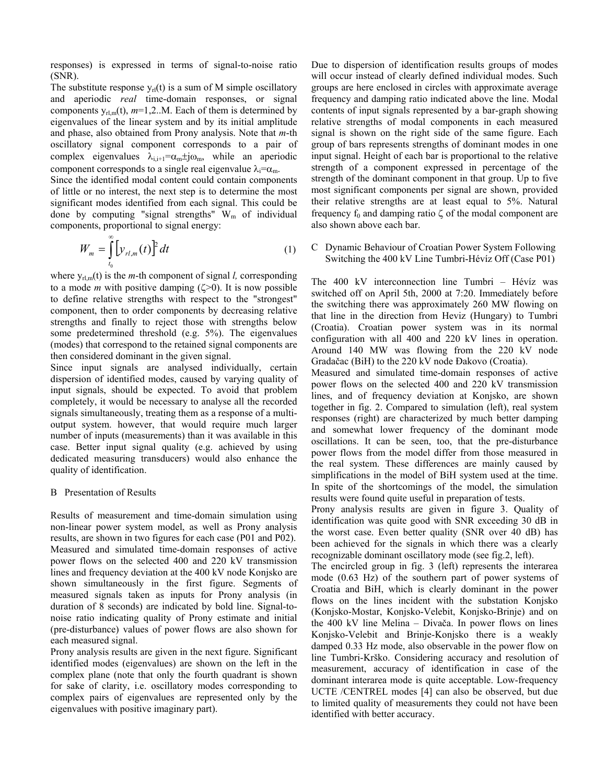responses) is expressed in terms of signal-to-noise ratio (SNR).

The substitute response  $y_{rl}(t)$  is a sum of M simple oscillatory and aperiodic *real* time-domain responses, or signal components  $y_{rl,m}(t)$ ,  $m=1,2...M$ . Each of them is determined by eigenvalues of the linear system and by its initial amplitude and phase, also obtained from Prony analysis. Note that *m*-th oscillatory signal component corresponds to a pair of complex eigenvalues  $\lambda_{i,i+1} = \alpha_m \pm j \omega_m$ , while an aperiodic component corresponds to a single real eigenvalue  $\lambda_i = \alpha_m$ .

Since the identified modal content could contain components of little or no interest, the next step is to determine the most significant modes identified from each signal. This could be done by computing "signal strengths"  $W_m$  of individual components, proportional to signal energy:

$$
W_m = \int_{t_0}^{\infty} \left[ y_{rl,m}(t) \right]^2 dt \tag{1}
$$

where  $y_{rl,m}(t)$  is the *m*-th component of signal *l*, corresponding to a mode *m* with positive damping  $(\zeta>0)$ . It is now possible to define relative strengths with respect to the "strongest" component, then to order components by decreasing relative strengths and finally to reject those with strengths below some predetermined threshold (e.g. 5%). The eigenvalues (modes) that correspond to the retained signal components are then considered dominant in the given signal.

Since input signals are analysed individually, certain dispersion of identified modes, caused by varying quality of input signals, should be expected. To avoid that problem completely, it would be necessary to analyse all the recorded signals simultaneously, treating them as a response of a multioutput system. however, that would require much larger number of inputs (measurements) than it was available in this case. Better input signal quality (e.g. achieved by using dedicated measuring transducers) would also enhance the quality of identification.

### B Presentation of Results

Results of measurement and time-domain simulation using non-linear power system model, as well as Prony analysis results, are shown in two figures for each case (P01 and P02). Measured and simulated time-domain responses of active power flows on the selected 400 and 220 kV transmission lines and frequency deviation at the 400 kV node Konjsko are shown simultaneously in the first figure. Segments of measured signals taken as inputs for Prony analysis (in duration of 8 seconds) are indicated by bold line. Signal-tonoise ratio indicating quality of Prony estimate and initial (pre-disturbance) values of power flows are also shown for each measured signal.

Prony analysis results are given in the next figure. Significant identified modes (eigenvalues) are shown on the left in the complex plane (note that only the fourth quadrant is shown for sake of clarity, i.e. oscillatory modes corresponding to complex pairs of eigenvalues are represented only by the eigenvalues with positive imaginary part).

Due to dispersion of identification results groups of modes will occur instead of clearly defined individual modes. Such groups are here enclosed in circles with approximate average frequency and damping ratio indicated above the line. Modal contents of input signals represented by a bar-graph showing relative strengths of modal components in each measured signal is shown on the right side of the same figure. Each group of bars represents strengths of dominant modes in one input signal. Height of each bar is proportional to the relative strength of a component expressed in percentage of the strength of the dominant component in that group. Up to five most significant components per signal are shown, provided their relative strengths are at least equal to 5%. Natural frequency  $f_0$  and damping ratio  $\zeta$  of the modal component are also shown above each bar.

C Dynamic Behaviour of Croatian Power System Following Switching the 400 kV Line Tumbri-Hévíz Off (Case P01)

The 400 kV interconnection line Tumbri – Hévíz was switched off on April 5th, 2000 at 7:20. Immediately before the switching there was approximately 260 MW flowing on that line in the direction from Heviz (Hungary) to Tumbri (Croatia). Croatian power system was in its normal configuration with all 400 and 220 kV lines in operation. Around 140 MW was flowing from the 220 kV node Gradačac (BiH) to the 220 kV node Đakovo (Croatia).

Measured and simulated time-domain responses of active power flows on the selected 400 and 220 kV transmission lines, and of frequency deviation at Konjsko, are shown together in fig. 2. Compared to simulation (left), real system responses (right) are characterized by much better damping and somewhat lower frequency of the dominant mode oscillations. It can be seen, too, that the pre-disturbance power flows from the model differ from those measured in the real system. These differences are mainly caused by simplifications in the model of BiH system used at the time. In spite of the shortcomings of the model, the simulation results were found quite useful in preparation of tests.

Prony analysis results are given in figure 3. Quality of identification was quite good with SNR exceeding 30 dB in the worst case. Even better quality (SNR over 40 dB) has been achieved for the signals in which there was a clearly recognizable dominant oscillatory mode (see fig.2, left).

The encircled group in fig. 3 (left) represents the interarea mode (0.63 Hz) of the southern part of power systems of Croatia and BiH, which is clearly dominant in the power flows on the lines incident with the substation Konjsko (Konjsko-Mostar, Konjsko-Velebit, Konjsko-Brinje) and on the 400 kV line Melina – Divača. In power flows on lines Konjsko-Velebit and Brinje-Konjsko there is a weakly damped 0.33 Hz mode, also observable in the power flow on line Tumbri-Krško. Considering accuracy and resolution of measurement, accuracy of identification in case of the dominant interarea mode is quite acceptable. Low-frequency UCTE /CENTREL modes [4] can also be observed, but due to limited quality of measurements they could not have been identified with better accuracy.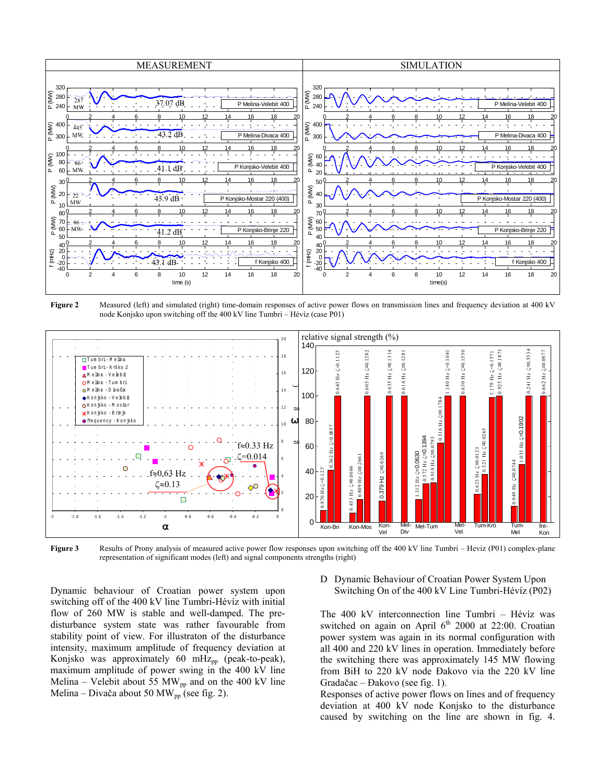

**Figure 2** Measured (left) and simulated (right) time-domain responses of active power flows on transmission lines and frequency deviation at 400 kV node Konjsko upon switching off the 400 kV line Tumbri – Hévíz (case P01)



**Figure 3** Results of Prony analysis of measured active power flow responses upon switching off the 400 kV line Tumbri – Heviz (P01) complex-plane representation of significant modes (left) and signal components strengths (right)

Dynamic behaviour of Croatian power system upon switching off of the 400 kV line Tumbri-Hévíz with initial flow of 260 MW is stable and well-damped. The predisturbance system state was rather favourable from stability point of view. For illustraton of the disturbance intensity, maximum amplitude of frequency deviation at Konjsko was approximately 60 mHz<sub>pp</sub> (peak-to-peak), maximum amplitude of power swing in the 400 kV line Melina – Velebit about 55 MW<sub>pp</sub> and on the 400 kV line Melina – Divača about 50 MW<sub>pp</sub> (see fig. 2).

D Dynamic Behaviour of Croatian Power System Upon Switching On of the 400 kV Line Tumbri-Hévíz (P02)

The 400 kV interconnection line Tumbri – Hévíz was switched on again on April  $6<sup>th</sup>$  2000 at 22:00. Croatian power system was again in its normal configuration with all 400 and 220 kV lines in operation. Immediately before the switching there was approximately 145 MW flowing from BiH to 220 kV node Đakovo via the 220 kV line Gradačac – Đakovo (see fig. 1).

Responses of active power flows on lines and of frequency deviation at 400 kV node Konjsko to the disturbance caused by switching on the line are shown in fig. 4.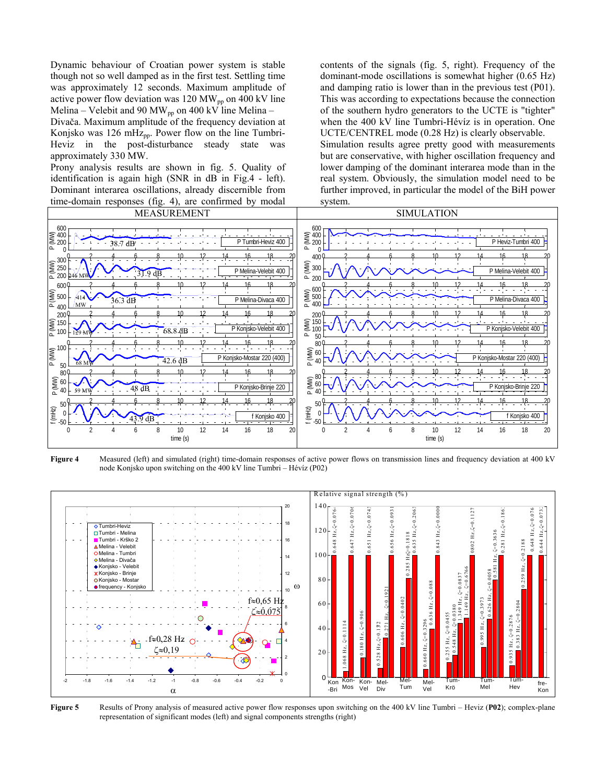Dynamic behaviour of Croatian power system is stable though not so well damped as in the first test. Settling time was approximately 12 seconds. Maximum amplitude of active power flow deviation was 120 MW<sub>pp</sub> on 400 kV line Melina – Velebit and 90 MW<sub>pp</sub> on 400 kV line Melina –

Divača. Maximum amplitude of the frequency deviation at Konjsko was 126 mHz<sub>pp</sub>. Power flow on the line Tumbri-Heviz in the post-disturbance steady state was approximately 330 MW.

Prony analysis results are shown in fig. 5. Quality of identification is again high (SNR in dB in Fig.4 - left). Dominant interarea oscillations, already discernible from time-domain responses (fig. 4), are confirmed by modal

contents of the signals (fig. 5, right). Frequency of the dominant-mode oscillations is somewhat higher (0.65 Hz) and damping ratio is lower than in the previous test (P01). This was according to expectations because the connection of the southern hydro generators to the UCTE is "tighter" when the 400 kV line Tumbri-Hévíz is in operation. One UCTE/CENTREL mode (0.28 Hz) is clearly observable. Simulation results agree pretty good with measurements but are conservative, with higher oscillation frequency and lower damping of the dominant interarea mode than in the real system. Obviously, the simulation model need to be further improved, in particular the model of the BiH power system.



**Figure 4** Measured (left) and simulated (right) time-domain responses of active power flows on transmission lines and frequency deviation at 400 kV node Konjsko upon switching on the 400 kV line Tumbri – Hévíz (P02)



**Figure 5** Results of Prony analysis of measured active power flow responses upon switching on the 400 kV line Tumbri – Heviz (**P02**); complex-plane representation of significant modes (left) and signal components strengths (right)